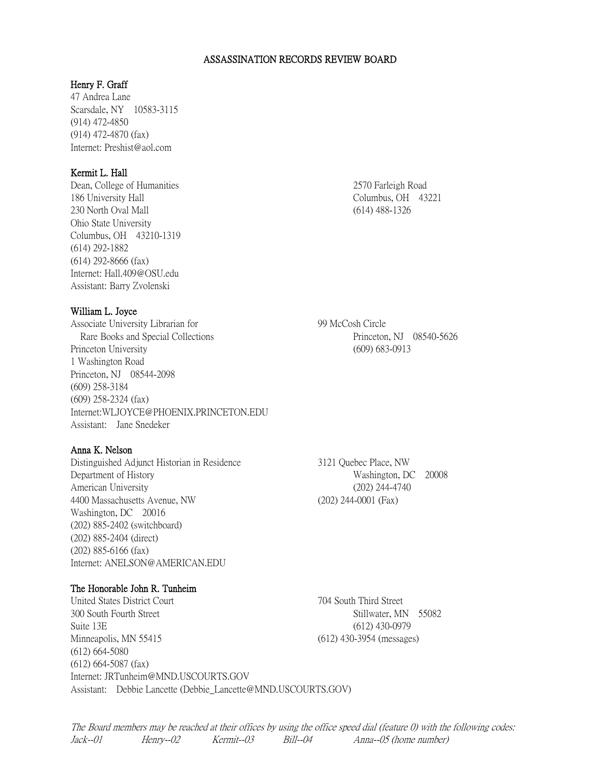#### ASSASSINATION RECORDS REVIEW BOARD

## Henry F. Graff

47 Andrea Lane Scarsdale, NY 10583-3115 (914) 472-4850 (914) 472-4870 (fax) Internet: Preshist@aol.com

# Kermit L. Hall

Dean, College of Humanities 2570 Farleigh Road 186 University Hall Columbus, OH 43221 230 North Oval Mall (614) 488-1326 Ohio State University Columbus, OH 43210-1319 (614) 292-1882 (614) 292-8666 (fax) Internet: Hall.409@OSU.edu Assistant: Barry Zvolenski

#### William L. Joyce

Associate University Librarian for 99 McCosh Circle Rare Books and Special Collections **Princeton**, NJ 08540-5626 Princeton University (609) 683-0913 1 Washington Road Princeton, NJ 08544-2098 (609) 258-3184 (609) 258-2324 (fax) Internet:WLJOYCE@PHOENIX.PRINCETON.EDU Assistant: Jane Snedeker

# Anna K. Nelson

Distinguished Adjunct Historian in Residence 3121 Quebec Place, NW Department of History Washington, DC 20008 American University (202) 244-4740 4400 Massachusetts Avenue, NW (202) 244-0001 (Fax) Washington, DC 20016 (202) 885-2402 (switchboard) (202) 885-2404 (direct) (202) 885-6166 (fax) Internet: ANELSON@AMERICAN.EDU

### The Honorable John R. Tunheim

United States District Court 704 South Third Street 300 South Fourth Street Stillwater, MN 55082 Suite 13E (612) 430-0979 Minneapolis, MN 55415 (612) 430-3954 (messages) (612) 664-5080 (612) 664-5087 (fax) Internet: JRTunheim@MND.USCOURTS.GOV Assistant: Debbie Lancette (Debbie\_Lancette@MND.USCOURTS.GOV)

The Board members may be reached at their offices by using the office speed dial (feature 0) with the following codes: Jack--01 Henry--02 Kermit--03 Bill--04 Anna--05 (home number)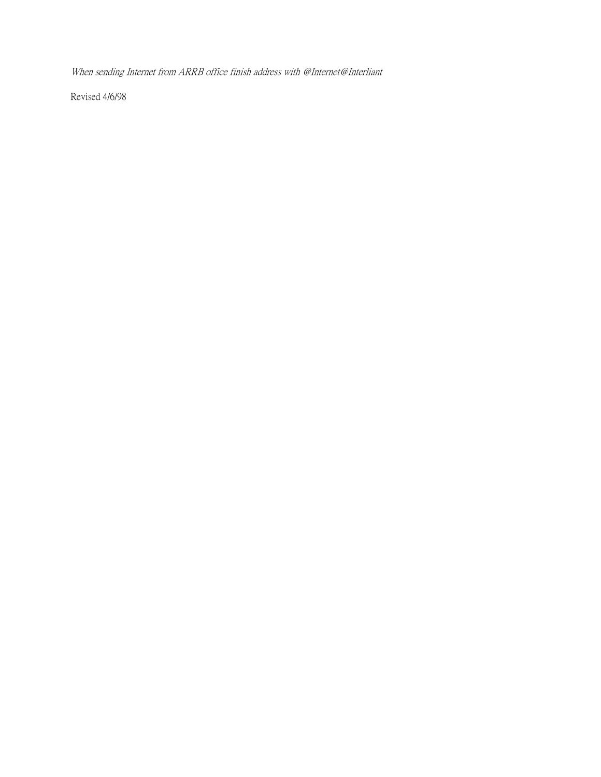When sending Internet from ARRB office finish address with @Internet@Interliant

Revised 4/6/98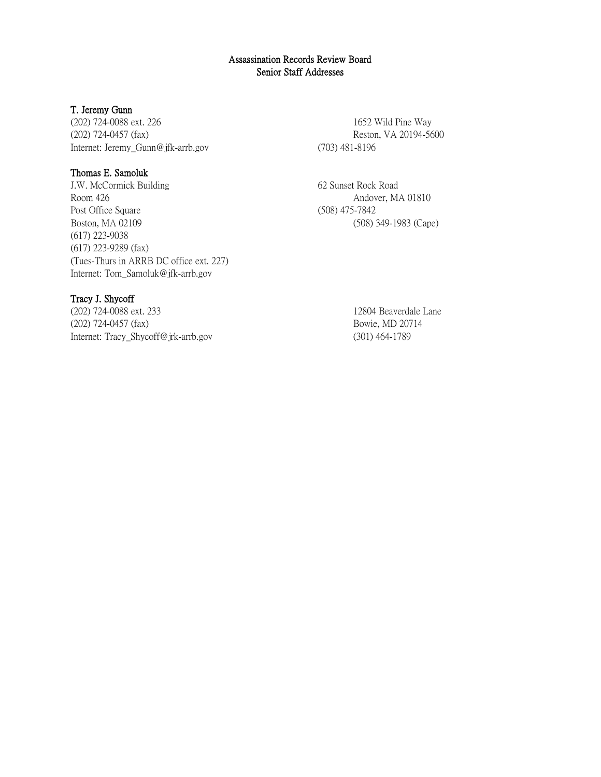## Assassination Records Review Board Senior Staff Addresses

### T. Jeremy Gunn

(202) 724-0088 ext. 226 1652 Wild Pine Way (202) 724-0457 (fax) Reston, VA 20194-5600 Internet: Jeremy\_Gunn@jfk-arrb.gov (703) 481-8196

# Thomas E. Samoluk

J.W. McCormick Building 62 Sunset Rock Road Room 426 Andover, MA 01810 Post Office Square (508) 475-7842 Boston, MA 02109 (508) 349-1983 (Cape) (617) 223-9038 (617) 223-9289 (fax) (Tues-Thurs in ARRB DC office ext. 227) Internet: Tom\_Samoluk@jfk-arrb.gov

## Tracy J. Shycoff

(202) 724-0088 ext. 233 12804 Beaverdale Lane (202) 724-0457 (fax) Bowie, MD 20714 Internet: Tracy\_Shycoff@jrk-arrb.gov (301) 464-1789